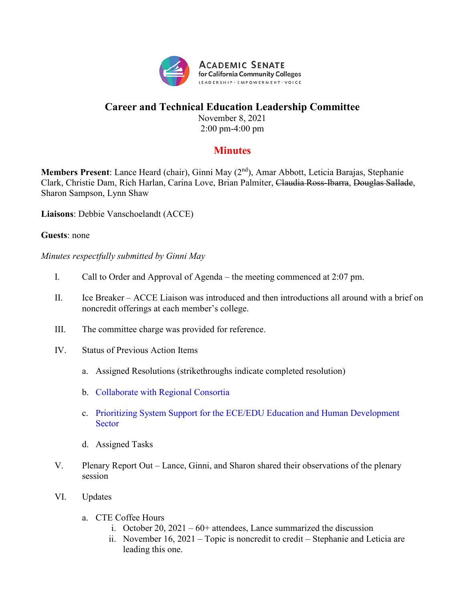

## **Career and Technical Education Leadership Committee**

November 8, 2021 2:00 pm-4:00 pm

## **Minutes**

**Members Present**: Lance Heard (chair), Ginni May (2nd), Amar Abbott, Leticia Barajas, Stephanie Clark, Christie Dam, Rich Harlan, Carina Love, Brian Palmiter, Claudia Ross-Ibarra, Douglas Sallade, Sharon Sampson, Lynn Shaw

**Liaisons**: Debbie Vanschoelandt (ACCE)

## **Guests**: none

*Minutes respectfully submitted by Ginni May*

- I. Call to Order and Approval of Agenda the meeting commenced at 2:07 pm.
- II. Ice Breaker ACCE Liaison was introduced and then introductions all around with a brief on noncredit offerings at each member's college.
- III. The committee charge was provided for reference.
- IV. Status of Previous Action Items
	- a. Assigned Resolutions (strikethroughs indicate completed resolution)
	- b. [Collaborate with Regional Consortia](https://asccc.org/resolutions/collaborate-regional-consortia)
	- c. [Prioritizing System Support for the ECE/EDU Education and Human Development](https://asccc.org/resolutions/prioritizing-system-support-eceedu-education-and-human-development-sector)  **[Sector](https://asccc.org/resolutions/prioritizing-system-support-eceedu-education-and-human-development-sector)**
	- d. Assigned Tasks
- V. Plenary Report Out Lance, Ginni, and Sharon shared their observations of the plenary session
- VI. Updates
	- a. CTE Coffee Hours
		- i. October 20,  $2021 60+$  attendees, Lance summarized the discussion
		- ii. November 16, 2021 Topic is noncredit to credit Stephanie and Leticia are leading this one.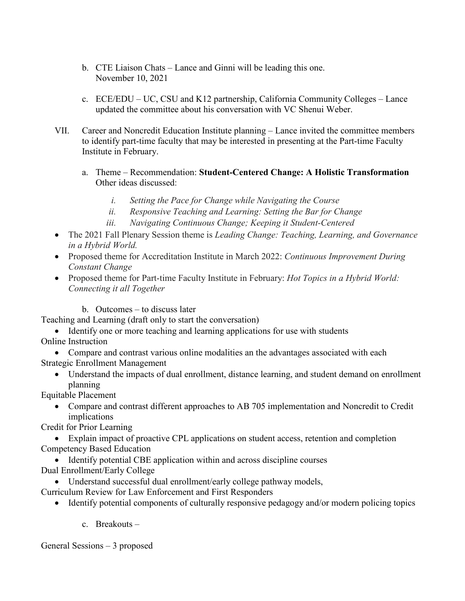- b. CTE Liaison Chats Lance and Ginni will be leading this one. November 10, 2021
- c. ECE/EDU UC, CSU and K12 partnership, California Community Colleges Lance updated the committee about his conversation with VC Shenui Weber.
- VII. Career and Noncredit Education Institute planning Lance invited the committee members to identify part-time faculty that may be interested in presenting at the Part-time Faculty Institute in February.
	- a. Theme Recommendation: **Student-Centered Change: A Holistic Transformation** Other ideas discussed:
		- *i. Setting the Pace for Change while Navigating the Course*
		- *ii. Responsive Teaching and Learning: Setting the Bar for Change*
		- *iii. Navigating Continuous Change; Keeping it Student-Centered*
- The 2021 Fall Plenary Session theme is *Leading Change: Teaching, Learning, and Governance in a Hybrid World.*
- Proposed theme for Accreditation Institute in March 2022: *Continuous Improvement During Constant Change*
- Proposed theme for Part-time Faculty Institute in February: *Hot Topics in a Hybrid World: Connecting it all Together*
	- b. Outcomes to discuss later

Teaching and Learning (draft only to start the conversation)

- Identify one or more teaching and learning applications for use with students Online Instruction
- Compare and contrast various online modalities an the advantages associated with each Strategic Enrollment Management
	- Understand the impacts of dual enrollment, distance learning, and student demand on enrollment planning

Equitable Placement

• Compare and contrast different approaches to AB 705 implementation and Noncredit to Credit implications

Credit for Prior Learning

- Explain impact of proactive CPL applications on student access, retention and completion Competency Based Education
	- Identify potential CBE application within and across discipline courses
- Dual Enrollment/Early College
	- Understand successful dual enrollment/early college pathway models,
- Curriculum Review for Law Enforcement and First Responders
	- Identify potential components of culturally responsive pedagogy and/or modern policing topics
		- c. Breakouts –

General Sessions – 3 proposed